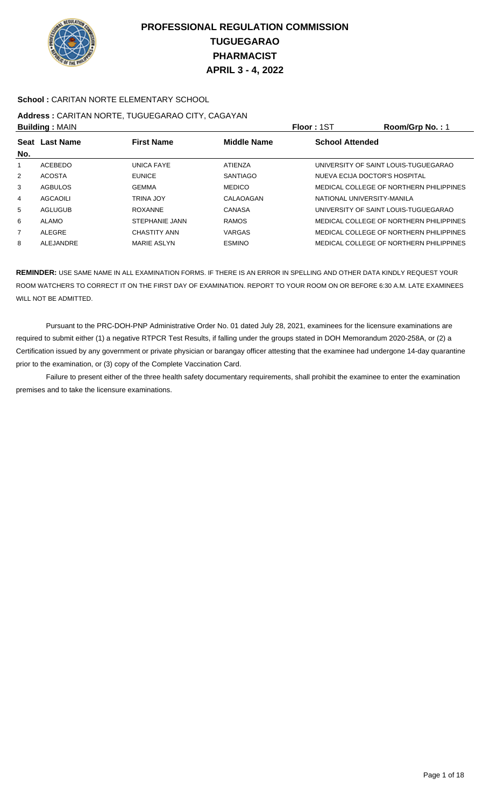

### **School :** CARITAN NORTE ELEMENTARY SCHOOL

# **Address :** CARITAN NORTE, TUGUEGARAO CITY, CAGAYAN

| <b>Building: MAIN</b> |                  |                       |                    | <b>Floor: 1ST</b>             | Room/Grp No.: 1                         |
|-----------------------|------------------|-----------------------|--------------------|-------------------------------|-----------------------------------------|
| <b>Seat</b><br>No.    | <b>Last Name</b> | <b>First Name</b>     | <b>Middle Name</b> | <b>School Attended</b>        |                                         |
|                       | ACEBEDO          | UNICA FAYE            | ATIENZA            |                               | UNIVERSITY OF SAINT LOUIS-TUGUEGARAO    |
| $\overline{2}$        | <b>ACOSTA</b>    | <b>EUNICE</b>         | <b>SANTIAGO</b>    | NUEVA ECIJA DOCTOR'S HOSPITAL |                                         |
| 3                     | <b>AGBULOS</b>   | <b>GEMMA</b>          | <b>MEDICO</b>      |                               | MEDICAL COLLEGE OF NORTHERN PHILIPPINES |
| 4                     | AGCAOILI         | TRINA JOY             | CALAOAGAN          | NATIONAL UNIVERSITY-MANILA    |                                         |
| 5                     | <b>AGLUGUB</b>   | <b>ROXANNE</b>        | CANASA             |                               | UNIVERSITY OF SAINT LOUIS-TUGUEGARAO    |
| 6                     | ALAMO            | <b>STEPHANIE JANN</b> | <b>RAMOS</b>       |                               | MEDICAL COLLEGE OF NORTHERN PHILIPPINES |
| $\overline{7}$        | <b>ALEGRE</b>    | <b>CHASTITY ANN</b>   | <b>VARGAS</b>      |                               | MEDICAL COLLEGE OF NORTHERN PHILIPPINES |
| 8                     | ALEJANDRE        | <b>MARIE ASLYN</b>    | <b>ESMINO</b>      |                               | MEDICAL COLLEGE OF NORTHERN PHILIPPINES |

**REMINDER:** USE SAME NAME IN ALL EXAMINATION FORMS. IF THERE IS AN ERROR IN SPELLING AND OTHER DATA KINDLY REQUEST YOUR ROOM WATCHERS TO CORRECT IT ON THE FIRST DAY OF EXAMINATION. REPORT TO YOUR ROOM ON OR BEFORE 6:30 A.M. LATE EXAMINEES WILL NOT BE ADMITTED.

 Pursuant to the PRC-DOH-PNP Administrative Order No. 01 dated July 28, 2021, examinees for the licensure examinations are required to submit either (1) a negative RTPCR Test Results, if falling under the groups stated in DOH Memorandum 2020-258A, or (2) a Certification issued by any government or private physician or barangay officer attesting that the examinee had undergone 14-day quarantine prior to the examination, or (3) copy of the Complete Vaccination Card.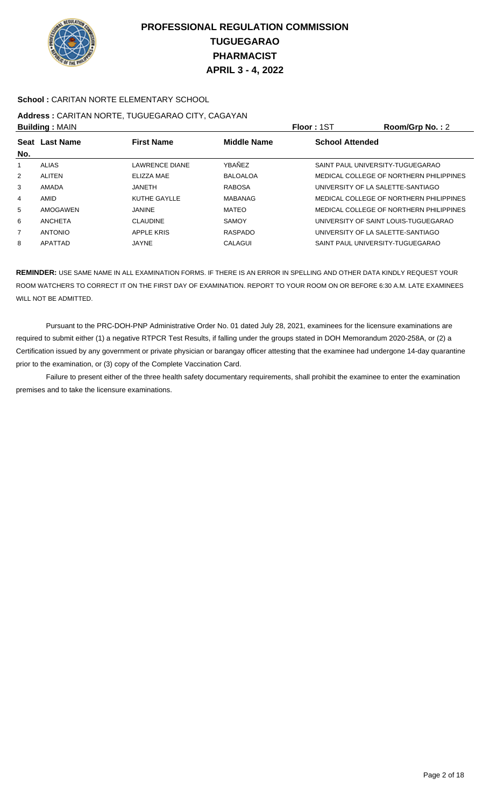

### **School :** CARITAN NORTE ELEMENTARY SCHOOL

# **Address :** CARITAN NORTE, TUGUEGARAO CITY, CAGAYAN

| <b>Building: MAIN</b> |                |                     |                    | <b>Floor: 1ST</b>                 | Room/Grp No.: 2                         |
|-----------------------|----------------|---------------------|--------------------|-----------------------------------|-----------------------------------------|
| No.                   | Seat Last Name | <b>First Name</b>   | <b>Middle Name</b> | <b>School Attended</b>            |                                         |
|                       | ALIAS          | LAWRENCE DIANE      | YBAÑEZ             | SAINT PAUL UNIVERSITY-TUGUEGARAO  |                                         |
| 2                     | ALITEN         | ELIZZA MAE          | <b>BALOALOA</b>    |                                   | MEDICAL COLLEGE OF NORTHERN PHILIPPINES |
| 3                     | AMADA          | JANFTH.             | <b>RABOSA</b>      | UNIVERSITY OF LA SALETTE-SANTIAGO |                                         |
| $\overline{4}$        | AMID           | <b>KUTHE GAYLLE</b> | <b>MABANAG</b>     |                                   | MEDICAL COLLEGE OF NORTHERN PHILIPPINES |
| 5                     | AMOGAWEN       | <b>JANINE</b>       | MATEO              |                                   | MEDICAL COLLEGE OF NORTHERN PHILIPPINES |
| 6                     | ANCHETA        | <b>CLAUDINE</b>     | <b>SAMOY</b>       |                                   | UNIVERSITY OF SAINT LOUIS-TUGUEGARAO    |
| $\overline{7}$        | <b>ANTONIO</b> | <b>APPLE KRIS</b>   | <b>RASPADO</b>     | UNIVERSITY OF LA SALETTE-SANTIAGO |                                         |
| 8                     | APATTAD        | JAYNE               | CALAGUI            | SAINT PAUL UNIVERSITY-TUGUEGARAO  |                                         |

**REMINDER:** USE SAME NAME IN ALL EXAMINATION FORMS. IF THERE IS AN ERROR IN SPELLING AND OTHER DATA KINDLY REQUEST YOUR ROOM WATCHERS TO CORRECT IT ON THE FIRST DAY OF EXAMINATION. REPORT TO YOUR ROOM ON OR BEFORE 6:30 A.M. LATE EXAMINEES WILL NOT BE ADMITTED.

 Pursuant to the PRC-DOH-PNP Administrative Order No. 01 dated July 28, 2021, examinees for the licensure examinations are required to submit either (1) a negative RTPCR Test Results, if falling under the groups stated in DOH Memorandum 2020-258A, or (2) a Certification issued by any government or private physician or barangay officer attesting that the examinee had undergone 14-day quarantine prior to the examination, or (3) copy of the Complete Vaccination Card.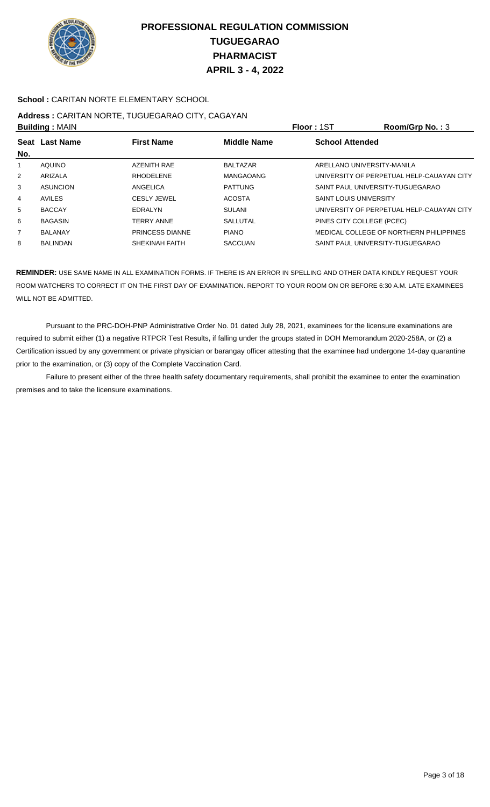

### **School :** CARITAN NORTE ELEMENTARY SCHOOL

# **Address :** CARITAN NORTE, TUGUEGARAO CITY, CAGAYAN

| <b>Building: MAIN</b> |                  |                        | Floor: 1ST         | Room/Grp No.: $3$             |                                           |
|-----------------------|------------------|------------------------|--------------------|-------------------------------|-------------------------------------------|
| <b>Seat</b>           | <b>Last Name</b> | <b>First Name</b>      | <b>Middle Name</b> | <b>School Attended</b>        |                                           |
| No.                   |                  |                        |                    |                               |                                           |
|                       | AQUINO           | <b>AZENITH RAE</b>     | <b>BALTAZAR</b>    |                               | ARELLANO UNIVERSITY-MANILA                |
| $\overline{2}$        | ARIZALA          | <b>RHODELENE</b>       | MANGAOANG          |                               | UNIVERSITY OF PERPETUAL HELP-CAUAYAN CITY |
| 3                     | <b>ASUNCION</b>  | ANGELICA               | <b>PATTUNG</b>     |                               | SAINT PAUL UNIVERSITY-TUGUEGARAO          |
| 4                     | AVILES           | <b>CESLY JEWEL</b>     | <b>ACOSTA</b>      | <b>SAINT LOUIS UNIVERSITY</b> |                                           |
| 5                     | <b>BACCAY</b>    | EDRALYN                | SULANI             |                               | UNIVERSITY OF PERPETUAL HELP-CAUAYAN CITY |
| 6                     | <b>BAGASIN</b>   | <b>TERRY ANNE</b>      | SALLUTAL           |                               | PINES CITY COLLEGE (PCEC)                 |
| $\overline{7}$        | <b>BALANAY</b>   | <b>PRINCESS DIANNE</b> | <b>PIANO</b>       |                               | MEDICAL COLLEGE OF NORTHERN PHILIPPINES   |
| 8                     | <b>BALINDAN</b>  | SHEKINAH FAITH         | <b>SACCUAN</b>     |                               | SAINT PAUL UNIVERSITY-TUGUEGARAO          |

**REMINDER:** USE SAME NAME IN ALL EXAMINATION FORMS. IF THERE IS AN ERROR IN SPELLING AND OTHER DATA KINDLY REQUEST YOUR ROOM WATCHERS TO CORRECT IT ON THE FIRST DAY OF EXAMINATION. REPORT TO YOUR ROOM ON OR BEFORE 6:30 A.M. LATE EXAMINEES WILL NOT BE ADMITTED.

 Pursuant to the PRC-DOH-PNP Administrative Order No. 01 dated July 28, 2021, examinees for the licensure examinations are required to submit either (1) a negative RTPCR Test Results, if falling under the groups stated in DOH Memorandum 2020-258A, or (2) a Certification issued by any government or private physician or barangay officer attesting that the examinee had undergone 14-day quarantine prior to the examination, or (3) copy of the Complete Vaccination Card.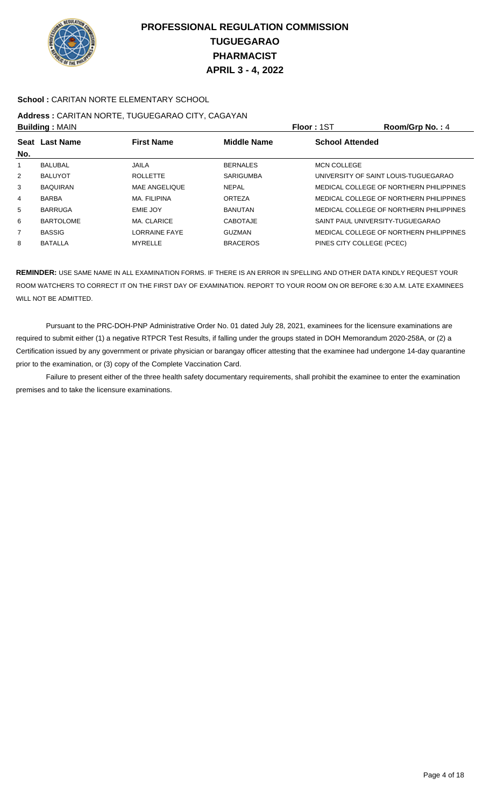

### **School :** CARITAN NORTE ELEMENTARY SCHOOL

#### **Address :** CARITAN NORTE, TUGUEGARAO CITY, CAGAYAN **Building :** MAIN **Floor :** 1ST **Room/Grp No. :** 4

| <b>PURSIBY</b> DUANT |                  |                      |                    | 1 IUU - IU I<br>110011110111101117      |
|----------------------|------------------|----------------------|--------------------|-----------------------------------------|
|                      | Seat Last Name   | <b>First Name</b>    | <b>Middle Name</b> | <b>School Attended</b>                  |
| No.                  |                  |                      |                    |                                         |
|                      | <b>BALUBAL</b>   | JAILA                | <b>BERNALES</b>    | <b>MCN COLLEGE</b>                      |
| 2                    | <b>BALUYOT</b>   | <b>ROLLETTE</b>      | <b>SARIGUMBA</b>   | UNIVERSITY OF SAINT LOUIS-TUGUEGARAO    |
| 3                    | <b>BAQUIRAN</b>  | <b>MAE ANGELIQUE</b> | <b>NEPAL</b>       | MEDICAL COLLEGE OF NORTHERN PHILIPPINES |
| 4                    | <b>BARBA</b>     | <b>MA. FILIPINA</b>  | <b>ORTEZA</b>      | MEDICAL COLLEGE OF NORTHERN PHILIPPINES |
| 5                    | <b>BARRUGA</b>   | EMIE JOY             | <b>BANUTAN</b>     | MEDICAL COLLEGE OF NORTHERN PHILIPPINES |
| 6                    | <b>BARTOLOME</b> | MA. CLARICE          | <b>CABOTAJE</b>    | SAINT PAUL UNIVERSITY-TUGUEGARAO        |
| $\overline{7}$       | <b>BASSIG</b>    | <b>LORRAINE FAYE</b> | <b>GUZMAN</b>      | MEDICAL COLLEGE OF NORTHERN PHILIPPINES |
| 8                    | <b>BATALLA</b>   | <b>MYRELLE</b>       | <b>BRACEROS</b>    | PINES CITY COLLEGE (PCEC)               |
|                      |                  |                      |                    |                                         |

**REMINDER:** USE SAME NAME IN ALL EXAMINATION FORMS. IF THERE IS AN ERROR IN SPELLING AND OTHER DATA KINDLY REQUEST YOUR ROOM WATCHERS TO CORRECT IT ON THE FIRST DAY OF EXAMINATION. REPORT TO YOUR ROOM ON OR BEFORE 6:30 A.M. LATE EXAMINEES WILL NOT BE ADMITTED.

 Pursuant to the PRC-DOH-PNP Administrative Order No. 01 dated July 28, 2021, examinees for the licensure examinations are required to submit either (1) a negative RTPCR Test Results, if falling under the groups stated in DOH Memorandum 2020-258A, or (2) a Certification issued by any government or private physician or barangay officer attesting that the examinee had undergone 14-day quarantine prior to the examination, or (3) copy of the Complete Vaccination Card.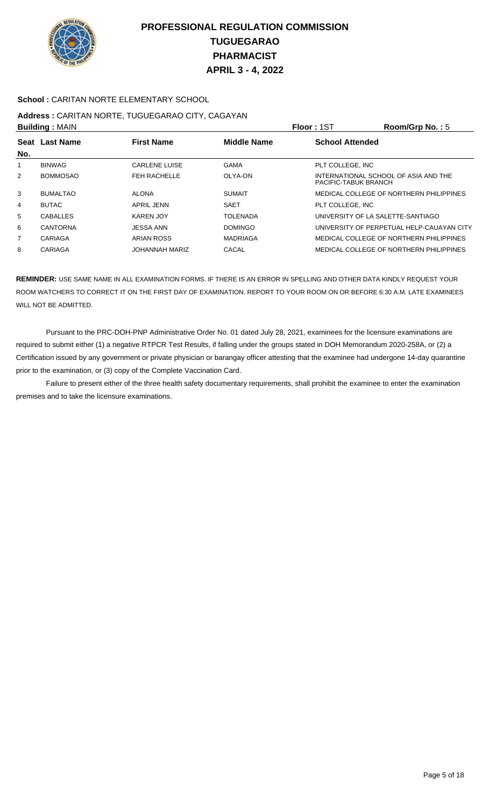

### **School :** CARITAN NORTE ELEMENTARY SCHOOL

# **Address :** CARITAN NORTE, TUGUEGARAO CITY, CAGAYAN

| <b>Building: MAIN</b> |                       |                      |                    | Floor: 1ST                        | Room/Grp No.: $5$                         |
|-----------------------|-----------------------|----------------------|--------------------|-----------------------------------|-------------------------------------------|
| No.                   | <b>Seat Last Name</b> | <b>First Name</b>    | <b>Middle Name</b> | <b>School Attended</b>            |                                           |
| 1                     | <b>BINWAG</b>         | <b>CARLENE LUISE</b> | <b>GAMA</b>        | PLT COLLEGE. INC                  |                                           |
| 2                     | <b>BOMMOSAO</b>       | <b>FEH RACHELLE</b>  | OLYA-ON            | PACIFIC-TABUK BRANCH              | INTERNATIONAL SCHOOL OF ASIA AND THE      |
| 3                     | <b>BUMALTAO</b>       | <b>ALONA</b>         | <b>SUMAIT</b>      |                                   | MEDICAL COLLEGE OF NORTHERN PHILIPPINES   |
| 4                     | <b>BUTAC</b>          | APRIL JENN           | <b>SAET</b>        | PLT COLLEGE. INC                  |                                           |
| 5                     | <b>CABALLES</b>       | <b>KAREN JOY</b>     | <b>TOLENADA</b>    | UNIVERSITY OF LA SALETTE-SANTIAGO |                                           |
| 6                     | CANTORNA              | <b>JESSA ANN</b>     | <b>DOMINGO</b>     |                                   | UNIVERSITY OF PERPETUAL HELP-CAUAYAN CITY |
| $\overline{7}$        | CARIAGA               | ARIAN ROSS           | <b>MADRIAGA</b>    |                                   | MEDICAL COLLEGE OF NORTHERN PHILIPPINES   |
| 8                     | CARIAGA               | JOHANNAH MARIZ       | CACAL              |                                   | MEDICAL COLLEGE OF NORTHERN PHILIPPINES   |
|                       |                       |                      |                    |                                   |                                           |

**REMINDER:** USE SAME NAME IN ALL EXAMINATION FORMS. IF THERE IS AN ERROR IN SPELLING AND OTHER DATA KINDLY REQUEST YOUR ROOM WATCHERS TO CORRECT IT ON THE FIRST DAY OF EXAMINATION. REPORT TO YOUR ROOM ON OR BEFORE 6:30 A.M. LATE EXAMINEES WILL NOT BE ADMITTED.

 Pursuant to the PRC-DOH-PNP Administrative Order No. 01 dated July 28, 2021, examinees for the licensure examinations are required to submit either (1) a negative RTPCR Test Results, if falling under the groups stated in DOH Memorandum 2020-258A, or (2) a Certification issued by any government or private physician or barangay officer attesting that the examinee had undergone 14-day quarantine prior to the examination, or (3) copy of the Complete Vaccination Card.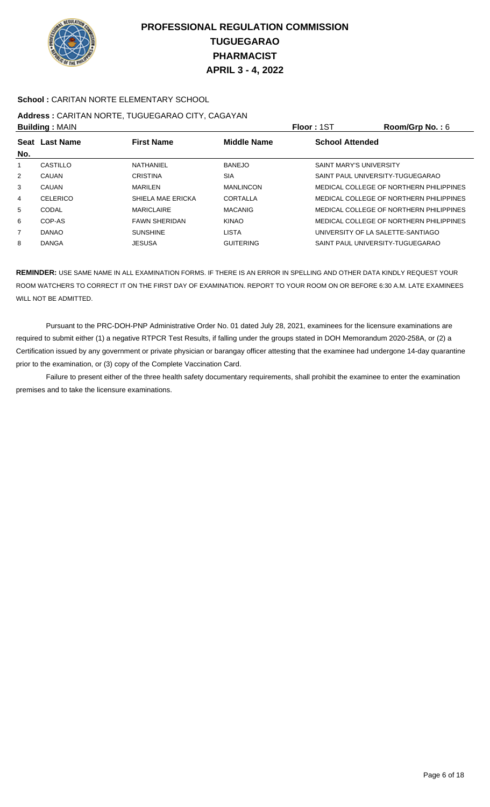

### **School :** CARITAN NORTE ELEMENTARY SCHOOL

# **Address :** CARITAN NORTE, TUGUEGARAO CITY, CAGAYAN

| <b>Building: MAIN</b> |                |                      |                    | Floor: 1ST                        | Room/Grp No.: $6$                       |
|-----------------------|----------------|----------------------|--------------------|-----------------------------------|-----------------------------------------|
| No.                   | Seat Last Name | <b>First Name</b>    | <b>Middle Name</b> | <b>School Attended</b>            |                                         |
|                       | CASTILLO       | NATHANIEL            | <b>BANEJO</b>      | <b>SAINT MARY'S UNIVERSITY</b>    |                                         |
| 2                     | CAUAN          | <b>CRISTINA</b>      | <b>SIA</b>         | SAINT PAUL UNIVERSITY-TUGUEGARAO  |                                         |
| 3                     | CAUAN          | <b>MARILEN</b>       | <b>MANLINCON</b>   |                                   | MEDICAL COLLEGE OF NORTHERN PHILIPPINES |
| 4                     | CELERICO       | SHIELA MAE ERICKA    | CORTALLA           |                                   | MEDICAL COLLEGE OF NORTHERN PHILIPPINES |
| 5                     | CODAL          | <b>MARICLAIRE</b>    | <b>MACANIG</b>     |                                   | MEDICAL COLLEGE OF NORTHERN PHILIPPINES |
| 6                     | COP-AS         | <b>FAWN SHERIDAN</b> | <b>KINAO</b>       |                                   | MEDICAL COLLEGE OF NORTHERN PHILIPPINES |
| $\overline{7}$        | <b>DANAO</b>   | <b>SUNSHINE</b>      | <b>LISTA</b>       | UNIVERSITY OF LA SALETTE-SANTIAGO |                                         |
| 8                     | <b>DANGA</b>   | <b>JESUSA</b>        | <b>GUITERING</b>   | SAINT PAUL UNIVERSITY-TUGUEGARAO  |                                         |

**REMINDER:** USE SAME NAME IN ALL EXAMINATION FORMS. IF THERE IS AN ERROR IN SPELLING AND OTHER DATA KINDLY REQUEST YOUR ROOM WATCHERS TO CORRECT IT ON THE FIRST DAY OF EXAMINATION. REPORT TO YOUR ROOM ON OR BEFORE 6:30 A.M. LATE EXAMINEES WILL NOT BE ADMITTED.

 Pursuant to the PRC-DOH-PNP Administrative Order No. 01 dated July 28, 2021, examinees for the licensure examinations are required to submit either (1) a negative RTPCR Test Results, if falling under the groups stated in DOH Memorandum 2020-258A, or (2) a Certification issued by any government or private physician or barangay officer attesting that the examinee had undergone 14-day quarantine prior to the examination, or (3) copy of the Complete Vaccination Card.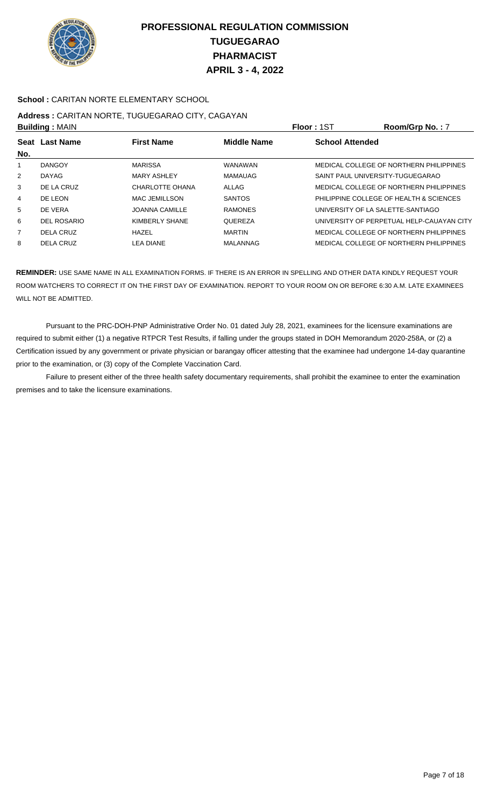

### **School :** CARITAN NORTE ELEMENTARY SCHOOL

# **Address :** CARITAN NORTE, TUGUEGARAO CITY, CAGAYAN

| <b>Building: MAIN</b> |                       |                       |                    | <b>Floor: 1ST</b>                 | Room/Grp No.: 7                           |
|-----------------------|-----------------------|-----------------------|--------------------|-----------------------------------|-------------------------------------------|
| No.                   | <b>Seat Last Name</b> | <b>First Name</b>     | <b>Middle Name</b> | <b>School Attended</b>            |                                           |
|                       | <b>DANGOY</b>         | <b>MARISSA</b>        | WANAWAN            |                                   | MEDICAL COLLEGE OF NORTHERN PHILIPPINES   |
| 2                     | <b>DAYAG</b>          | <b>MARY ASHLEY</b>    | MAMAUAG            | SAINT PAUL UNIVERSITY-TUGUEGARAO  |                                           |
| 3                     | DE LA CRUZ            | CHARLOTTE OHANA       | ALLAG              |                                   | MEDICAL COLLEGE OF NORTHERN PHILIPPINES   |
| 4                     | DE LEON               | <b>MAC JEMILLSON</b>  | <b>SANTOS</b>      |                                   | PHILIPPINE COLLEGE OF HEALTH & SCIENCES   |
| 5                     | DE VERA               | <b>JOANNA CAMILLE</b> | <b>RAMONES</b>     | UNIVERSITY OF LA SALETTE-SANTIAGO |                                           |
| 6                     | DEL ROSARIO           | KIMBERLY SHANE        | QUEREZA            |                                   | UNIVERSITY OF PERPETUAL HELP-CAUAYAN CITY |
| $\overline{7}$        | DELA CRUZ             | HAZEL                 | <b>MARTIN</b>      |                                   | MEDICAL COLLEGE OF NORTHERN PHILIPPINES   |
| 8                     | DELA CRUZ             | LEA DIANE             | MALANNAG           |                                   | MEDICAL COLLEGE OF NORTHERN PHILIPPINES   |

**REMINDER:** USE SAME NAME IN ALL EXAMINATION FORMS. IF THERE IS AN ERROR IN SPELLING AND OTHER DATA KINDLY REQUEST YOUR ROOM WATCHERS TO CORRECT IT ON THE FIRST DAY OF EXAMINATION. REPORT TO YOUR ROOM ON OR BEFORE 6:30 A.M. LATE EXAMINEES WILL NOT BE ADMITTED.

 Pursuant to the PRC-DOH-PNP Administrative Order No. 01 dated July 28, 2021, examinees for the licensure examinations are required to submit either (1) a negative RTPCR Test Results, if falling under the groups stated in DOH Memorandum 2020-258A, or (2) a Certification issued by any government or private physician or barangay officer attesting that the examinee had undergone 14-day quarantine prior to the examination, or (3) copy of the Complete Vaccination Card.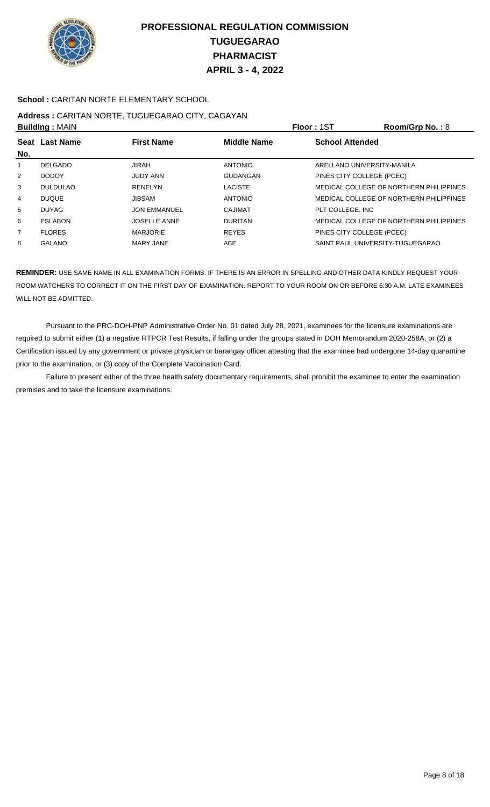

### **School :** CARITAN NORTE ELEMENTARY SCHOOL

## **Address :** CARITAN NORTE, TUGUEGARAO CITY, CAGAYAN

| <b>Building: MAIN</b> |                 |                     |                    | Floor: 1ST                       | Room/Grp No.: $8$                       |
|-----------------------|-----------------|---------------------|--------------------|----------------------------------|-----------------------------------------|
| No.                   | Seat Last Name  | <b>First Name</b>   | <b>Middle Name</b> | <b>School Attended</b>           |                                         |
|                       | DELGADO         | JIRAH               | <b>ANTONIO</b>     | ARELLANO UNIVERSITY-MANILA       |                                         |
| 2                     | <b>DODOY</b>    | <b>JUDY ANN</b>     | <b>GUDANGAN</b>    | PINES CITY COLLEGE (PCEC)        |                                         |
| 3                     | <b>DULDULAO</b> | <b>RENELYN</b>      | <b>LACISTE</b>     |                                  | MEDICAL COLLEGE OF NORTHERN PHILIPPINES |
| 4                     | <b>DUQUE</b>    | <b>JIBSAM</b>       | <b>ANTONIO</b>     |                                  | MEDICAL COLLEGE OF NORTHERN PHILIPPINES |
| 5                     | <b>DUYAG</b>    | <b>JON EMMANUEL</b> | CAJIMAT            | PLT COLLEGE. INC                 |                                         |
| 6                     | <b>ESLABON</b>  | <b>JOSELLE ANNE</b> | <b>DURITAN</b>     |                                  | MEDICAL COLLEGE OF NORTHERN PHILIPPINES |
| $\overline{7}$        | <b>FLORES</b>   | <b>MARJORIE</b>     | <b>REYES</b>       | PINES CITY COLLEGE (PCEC)        |                                         |
| 8                     | <b>GALANO</b>   | <b>MARY JANE</b>    | <b>ABE</b>         | SAINT PAUL UNIVERSITY-TUGUEGARAO |                                         |

**REMINDER:** USE SAME NAME IN ALL EXAMINATION FORMS. IF THERE IS AN ERROR IN SPELLING AND OTHER DATA KINDLY REQUEST YOUR ROOM WATCHERS TO CORRECT IT ON THE FIRST DAY OF EXAMINATION. REPORT TO YOUR ROOM ON OR BEFORE 6:30 A.M. LATE EXAMINEES WILL NOT BE ADMITTED.

 Pursuant to the PRC-DOH-PNP Administrative Order No. 01 dated July 28, 2021, examinees for the licensure examinations are required to submit either (1) a negative RTPCR Test Results, if falling under the groups stated in DOH Memorandum 2020-258A, or (2) a Certification issued by any government or private physician or barangay officer attesting that the examinee had undergone 14-day quarantine prior to the examination, or (3) copy of the Complete Vaccination Card.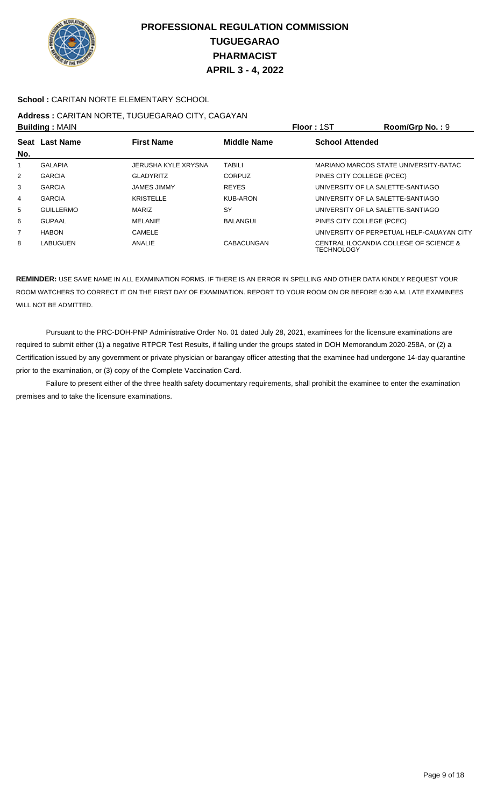

### **School :** CARITAN NORTE ELEMENTARY SCHOOL

# **Address :** CARITAN NORTE, TUGUEGARAO CITY, CAGAYAN

| <b>Building: MAIN</b> |                                                             |                     |                 | <b>Floor: 1ST</b>         | Room/Grp No.: 9                           |
|-----------------------|-------------------------------------------------------------|---------------------|-----------------|---------------------------|-------------------------------------------|
| Seat                  | <b>Middle Name</b><br><b>Last Name</b><br><b>First Name</b> |                     |                 | <b>School Attended</b>    |                                           |
| No.                   |                                                             |                     |                 |                           |                                           |
| 1.                    | <b>GALAPIA</b>                                              | JERUSHA KYLE XRYSNA | <b>TABILI</b>   |                           | MARIANO MARCOS STATE UNIVERSITY-BATAC     |
| $\overline{2}$        | <b>GARCIA</b>                                               | <b>GLADYRITZ</b>    | <b>CORPUZ</b>   | PINES CITY COLLEGE (PCEC) |                                           |
| 3                     | <b>GARCIA</b>                                               | <b>JAMES JIMMY</b>  | <b>REYES</b>    |                           | UNIVERSITY OF LA SALETTE-SANTIAGO         |
| 4                     | <b>GARCIA</b>                                               | <b>KRISTELLE</b>    | <b>KUB-ARON</b> |                           | UNIVERSITY OF LA SALETTE-SANTIAGO         |
| 5                     | <b>GUILLERMO</b>                                            | <b>MARIZ</b>        | SY              |                           | UNIVERSITY OF LA SALETTE-SANTIAGO         |
| 6                     | <b>GUPAAL</b>                                               | <b>MELANIE</b>      | <b>BALANGUI</b> | PINES CITY COLLEGE (PCEC) |                                           |
| $\overline{7}$        | <b>HABON</b>                                                | CAMELE              |                 |                           | UNIVERSITY OF PERPETUAL HELP-CAUAYAN CITY |
| 8                     | LABUGUEN                                                    | ANALIE              | CABACUNGAN      | <b>TECHNOLOGY</b>         | CENTRAL ILOCANDIA COLLEGE OF SCIENCE &    |

**REMINDER:** USE SAME NAME IN ALL EXAMINATION FORMS. IF THERE IS AN ERROR IN SPELLING AND OTHER DATA KINDLY REQUEST YOUR ROOM WATCHERS TO CORRECT IT ON THE FIRST DAY OF EXAMINATION. REPORT TO YOUR ROOM ON OR BEFORE 6:30 A.M. LATE EXAMINEES WILL NOT BE ADMITTED.

 Pursuant to the PRC-DOH-PNP Administrative Order No. 01 dated July 28, 2021, examinees for the licensure examinations are required to submit either (1) a negative RTPCR Test Results, if falling under the groups stated in DOH Memorandum 2020-258A, or (2) a Certification issued by any government or private physician or barangay officer attesting that the examinee had undergone 14-day quarantine prior to the examination, or (3) copy of the Complete Vaccination Card.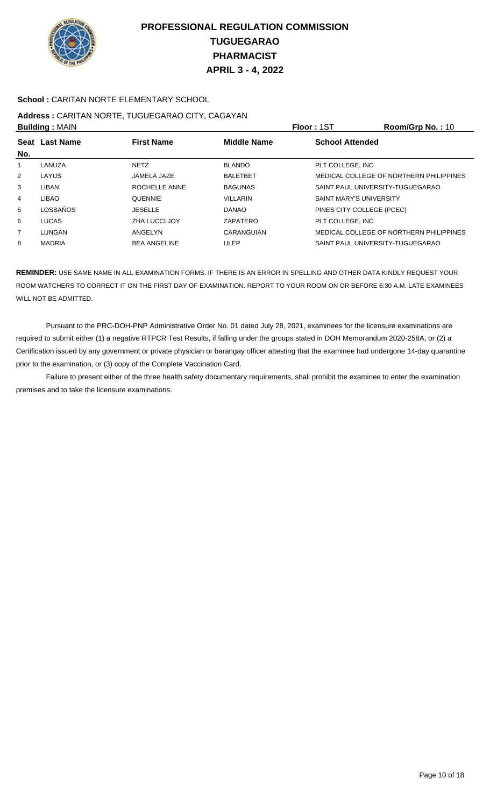

### **School :** CARITAN NORTE ELEMENTARY SCHOOL

## **Address :** CARITAN NORTE, TUGUEGARAO CITY, CAGAYAN

| <b>Building: MAIN</b> |                 |                     |                    | Floor: 1ST                       | Room/Grp No.: 10                        |
|-----------------------|-----------------|---------------------|--------------------|----------------------------------|-----------------------------------------|
| No.                   | Seat Last Name  | <b>First Name</b>   | <b>Middle Name</b> | <b>School Attended</b>           |                                         |
|                       | LANUZA          | <b>NETZ</b>         | <b>BLANDO</b>      | PLT COLLEGE, INC                 |                                         |
| 2                     | LAYUS           | JAMELA JAZE         | <b>BALETBET</b>    |                                  | MEDICAL COLLEGE OF NORTHERN PHILIPPINES |
| 3                     | LIBAN           | ROCHELLE ANNE       | <b>BAGUNAS</b>     | SAINT PAUL UNIVERSITY-TUGUEGARAO |                                         |
| 4                     | <b>LIBAO</b>    | <b>QUENNIE</b>      | <b>VILLARIN</b>    | <b>SAINT MARY'S UNIVERSITY</b>   |                                         |
| 5                     | <b>LOSBAÑOS</b> | <b>JESELLE</b>      | <b>DANAO</b>       | PINES CITY COLLEGE (PCEC)        |                                         |
| 6                     | LUCAS           | ZHA LUCCI JOY       | ZAPATERO           | PLT COLLEGE, INC                 |                                         |
| $\overline{7}$        | LUNGAN          | ANGELYN             | CARANGUIAN         |                                  | MEDICAL COLLEGE OF NORTHERN PHILIPPINES |
| 8                     | <b>MADRIA</b>   | <b>BEA ANGELINE</b> | <b>ULEP</b>        | SAINT PAUL UNIVERSITY-TUGUEGARAO |                                         |

**REMINDER:** USE SAME NAME IN ALL EXAMINATION FORMS. IF THERE IS AN ERROR IN SPELLING AND OTHER DATA KINDLY REQUEST YOUR ROOM WATCHERS TO CORRECT IT ON THE FIRST DAY OF EXAMINATION. REPORT TO YOUR ROOM ON OR BEFORE 6:30 A.M. LATE EXAMINEES WILL NOT BE ADMITTED.

 Pursuant to the PRC-DOH-PNP Administrative Order No. 01 dated July 28, 2021, examinees for the licensure examinations are required to submit either (1) a negative RTPCR Test Results, if falling under the groups stated in DOH Memorandum 2020-258A, or (2) a Certification issued by any government or private physician or barangay officer attesting that the examinee had undergone 14-day quarantine prior to the examination, or (3) copy of the Complete Vaccination Card.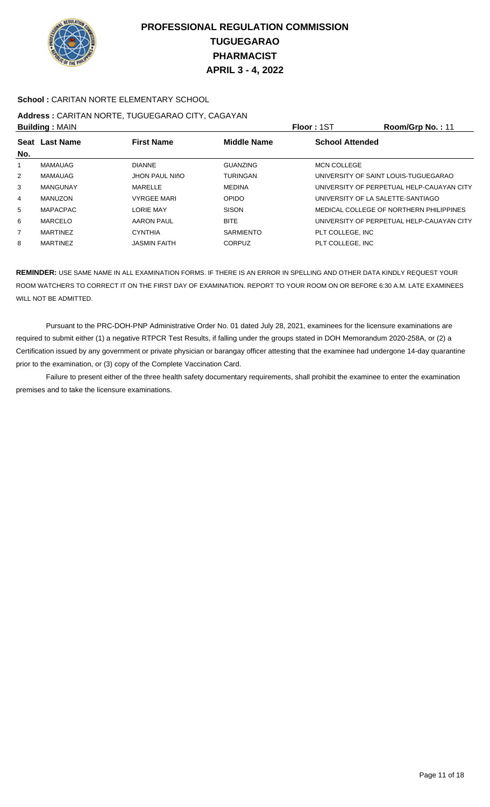

### **School :** CARITAN NORTE ELEMENTARY SCHOOL

#### **Address :** CARITAN NORTE, TUGUEGARAO CITY, CAGAYAN **Building :** MAIN **Floor :** 1ST **Room/Grp No. :** 11

| <b>DUILUILLY</b> ULAIN |                 |                       |                    | .                                         |
|------------------------|-----------------|-----------------------|--------------------|-------------------------------------------|
|                        | Seat Last Name  | <b>First Name</b>     | <b>Middle Name</b> | <b>School Attended</b>                    |
| No.                    |                 |                       |                    |                                           |
| 1                      | <b>MAMAUAG</b>  | <b>DIANNE</b>         | <b>GUANZING</b>    | <b>MCN COLLEGE</b>                        |
| 2                      | <b>MAMAUAG</b>  | <b>JHON PAUL NIÑO</b> | <b>TURINGAN</b>    | UNIVERSITY OF SAINT LOUIS-TUGUEGARAO      |
| 3                      | <b>MANGUNAY</b> | <b>MARELLE</b>        | <b>MEDINA</b>      | UNIVERSITY OF PERPETUAL HELP-CAUAYAN CITY |
| 4                      | MANUZON         | <b>VYRGEE MARI</b>    | <b>OPIDO</b>       | UNIVERSITY OF LA SALETTE-SANTIAGO         |
| 5                      | <b>MAPACPAC</b> | <b>LORIE MAY</b>      | <b>SISON</b>       | MEDICAL COLLEGE OF NORTHERN PHILIPPINES   |
| 6                      | MARCELO         | <b>AARON PAUL</b>     | <b>BITE</b>        | UNIVERSITY OF PERPETUAL HELP-CAUAYAN CITY |
| $\overline{7}$         | <b>MARTINEZ</b> | <b>CYNTHIA</b>        | <b>SARMIENTO</b>   | PLT COLLEGE, INC                          |
| 8                      | <b>MARTINEZ</b> | <b>JASMIN FAITH</b>   | CORPUZ             | PLT COLLEGE. INC                          |
|                        |                 |                       |                    |                                           |

**REMINDER:** USE SAME NAME IN ALL EXAMINATION FORMS. IF THERE IS AN ERROR IN SPELLING AND OTHER DATA KINDLY REQUEST YOUR ROOM WATCHERS TO CORRECT IT ON THE FIRST DAY OF EXAMINATION. REPORT TO YOUR ROOM ON OR BEFORE 6:30 A.M. LATE EXAMINEES WILL NOT BE ADMITTED.

 Pursuant to the PRC-DOH-PNP Administrative Order No. 01 dated July 28, 2021, examinees for the licensure examinations are required to submit either (1) a negative RTPCR Test Results, if falling under the groups stated in DOH Memorandum 2020-258A, or (2) a Certification issued by any government or private physician or barangay officer attesting that the examinee had undergone 14-day quarantine prior to the examination, or (3) copy of the Complete Vaccination Card.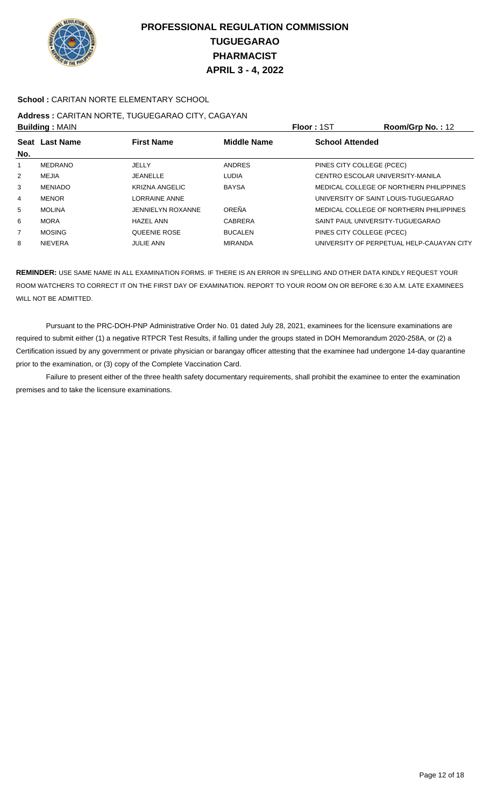

### **School :** CARITAN NORTE ELEMENTARY SCHOOL

# **Address :** CARITAN NORTE, TUGUEGARAO CITY, CAGAYAN

| <b>Building: MAIN</b> |                |                          |                    | Floor: 1ST                | Room/Grp No.: 12                          |
|-----------------------|----------------|--------------------------|--------------------|---------------------------|-------------------------------------------|
| No.                   | Seat Last Name | <b>First Name</b>        | <b>Middle Name</b> | <b>School Attended</b>    |                                           |
|                       | MEDRANO        | JELLY                    | ANDRES             | PINES CITY COLLEGE (PCEC) |                                           |
| 2                     | MEJIA          | <b>JEANELLE</b>          | LUDIA              |                           | CENTRO ESCOLAR UNIVERSITY-MANILA          |
| 3                     | <b>MENIADO</b> | KRIZNA ANGELIC           | <b>BAYSA</b>       |                           | MEDICAL COLLEGE OF NORTHERN PHILIPPINES   |
| 4                     | <b>MENOR</b>   | <b>LORRAINE ANNE</b>     |                    |                           | UNIVERSITY OF SAINT LOUIS-TUGUEGARAO      |
| 5                     | <b>MOLINA</b>  | <b>JENNIELYN ROXANNE</b> | OREÑA              |                           | MEDICAL COLLEGE OF NORTHERN PHILIPPINES   |
| 6                     | <b>MORA</b>    | <b>HAZEL ANN</b>         | CABRERA            |                           | SAINT PAUL UNIVERSITY-TUGUEGARAO          |
| $\overline{7}$        | <b>MOSING</b>  | <b>QUEENIE ROSE</b>      | <b>BUCALEN</b>     | PINES CITY COLLEGE (PCEC) |                                           |
| 8                     | <b>NIEVERA</b> | <b>JULIE ANN</b>         | <b>MIRANDA</b>     |                           | UNIVERSITY OF PERPETUAL HELP-CAUAYAN CITY |

**REMINDER:** USE SAME NAME IN ALL EXAMINATION FORMS. IF THERE IS AN ERROR IN SPELLING AND OTHER DATA KINDLY REQUEST YOUR ROOM WATCHERS TO CORRECT IT ON THE FIRST DAY OF EXAMINATION. REPORT TO YOUR ROOM ON OR BEFORE 6:30 A.M. LATE EXAMINEES WILL NOT BE ADMITTED.

 Pursuant to the PRC-DOH-PNP Administrative Order No. 01 dated July 28, 2021, examinees for the licensure examinations are required to submit either (1) a negative RTPCR Test Results, if falling under the groups stated in DOH Memorandum 2020-258A, or (2) a Certification issued by any government or private physician or barangay officer attesting that the examinee had undergone 14-day quarantine prior to the examination, or (3) copy of the Complete Vaccination Card.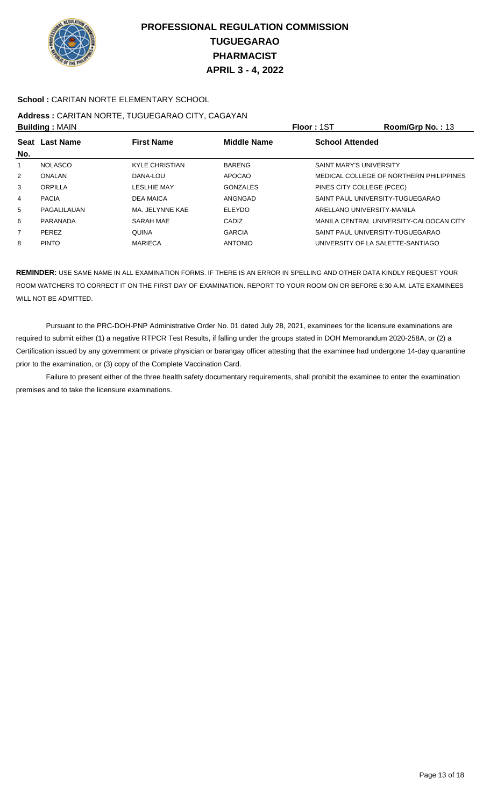

### **School :** CARITAN NORTE ELEMENTARY SCHOOL

# **Address :** CARITAN NORTE, TUGUEGARAO CITY, CAGAYAN

|     | <b>Building: MAIN</b> |                       |                    | Floor: 1ST                        | Room/Grp No.: 13                        |
|-----|-----------------------|-----------------------|--------------------|-----------------------------------|-----------------------------------------|
| No. | Seat Last Name        | <b>First Name</b>     | <b>Middle Name</b> | <b>School Attended</b>            |                                         |
|     | <b>NOLASCO</b>        | <b>KYLE CHRISTIAN</b> | <b>BARENG</b>      | <b>SAINT MARY'S UNIVERSITY</b>    |                                         |
| 2   | ONALAN                | DANA-LOU              | APOCAO             |                                   | MEDICAL COLLEGE OF NORTHERN PHILIPPINES |
| 3   | ORPILLA               | LESLHIE MAY           | <b>GONZALES</b>    | PINES CITY COLLEGE (PCEC)         |                                         |
| 4   | <b>PACIA</b>          | <b>DEA MAICA</b>      | ANGNGAD            | SAINT PAUL UNIVERSITY-TUGUEGARAO  |                                         |
| 5   | PAGALILAUAN           | MA. JELYNNE KAE       | <b>ELEYDO</b>      | ARELLANO UNIVERSITY-MANILA        |                                         |
| 6   | PARANADA              | <b>SARAH MAE</b>      | CADIZ              |                                   | MANILA CENTRAL UNIVERSITY-CALOOCAN CITY |
| 7   | <b>PEREZ</b>          | <b>QUINA</b>          | <b>GARCIA</b>      | SAINT PAUL UNIVERSITY-TUGUEGARAO  |                                         |
| 8   | <b>PINTO</b>          | <b>MARIECA</b>        | <b>ANTONIO</b>     | UNIVERSITY OF LA SALETTE-SANTIAGO |                                         |

**REMINDER:** USE SAME NAME IN ALL EXAMINATION FORMS. IF THERE IS AN ERROR IN SPELLING AND OTHER DATA KINDLY REQUEST YOUR ROOM WATCHERS TO CORRECT IT ON THE FIRST DAY OF EXAMINATION. REPORT TO YOUR ROOM ON OR BEFORE 6:30 A.M. LATE EXAMINEES WILL NOT BE ADMITTED.

 Pursuant to the PRC-DOH-PNP Administrative Order No. 01 dated July 28, 2021, examinees for the licensure examinations are required to submit either (1) a negative RTPCR Test Results, if falling under the groups stated in DOH Memorandum 2020-258A, or (2) a Certification issued by any government or private physician or barangay officer attesting that the examinee had undergone 14-day quarantine prior to the examination, or (3) copy of the Complete Vaccination Card.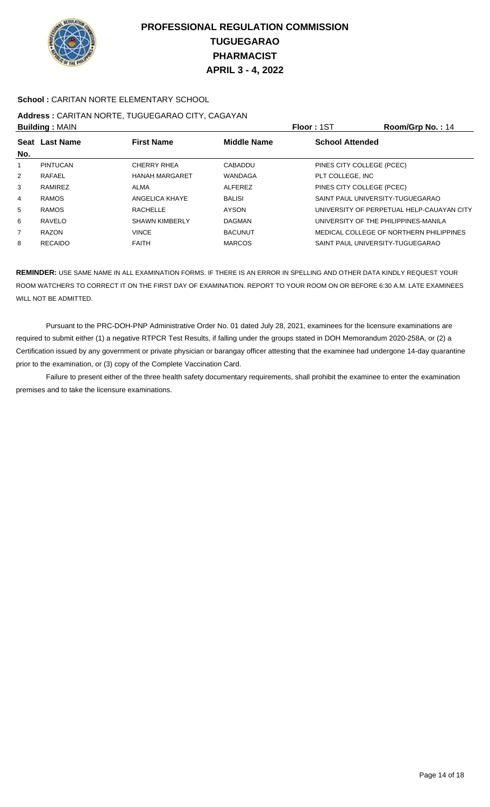

### **School :** CARITAN NORTE ELEMENTARY SCHOOL

# **Address :** CARITAN NORTE, TUGUEGARAO CITY, CAGAYAN

|                | <b>Building: MAIN</b> |                       |                    | Floor: 1ST                           | Room/Grp No.: 14                          |
|----------------|-----------------------|-----------------------|--------------------|--------------------------------------|-------------------------------------------|
| <b>Seat</b>    | <b>Last Name</b>      | <b>First Name</b>     | <b>Middle Name</b> | <b>School Attended</b>               |                                           |
| No.            |                       |                       |                    |                                      |                                           |
|                | PINTUCAN              | CHERRY RHEA           | <b>CABADDU</b>     | PINES CITY COLLEGE (PCEC)            |                                           |
| $\overline{2}$ | RAFAEL                | <b>HANAH MARGARET</b> | WANDAGA            | PLT COLLEGE. INC                     |                                           |
| 3              | <b>RAMIREZ</b>        | ALMA                  | <b>ALFEREZ</b>     | PINES CITY COLLEGE (PCEC)            |                                           |
| 4              | <b>RAMOS</b>          | ANGELICA KHAYE        | <b>BALISI</b>      | SAINT PAUL UNIVERSITY-TUGUEGARAO     |                                           |
| 5              | <b>RAMOS</b>          | RACHELLE              | <b>AYSON</b>       |                                      | UNIVERSITY OF PERPETUAL HELP-CAUAYAN CITY |
| 6              | RAVELO                | <b>SHAWN KIMBERLY</b> | <b>DAGMAN</b>      | UNIVERSITY OF THE PHILIPPINES-MANILA |                                           |
| 7              | <b>RAZON</b>          | <b>VINCE</b>          | <b>BACUNUT</b>     |                                      | MEDICAL COLLEGE OF NORTHERN PHILIPPINES   |
| 8              | <b>RECAIDO</b>        | <b>FAITH</b>          | <b>MARCOS</b>      | SAINT PAUL UNIVERSITY-TUGUEGARAO     |                                           |
|                |                       |                       |                    |                                      |                                           |

**REMINDER:** USE SAME NAME IN ALL EXAMINATION FORMS. IF THERE IS AN ERROR IN SPELLING AND OTHER DATA KINDLY REQUEST YOUR ROOM WATCHERS TO CORRECT IT ON THE FIRST DAY OF EXAMINATION. REPORT TO YOUR ROOM ON OR BEFORE 6:30 A.M. LATE EXAMINEES WILL NOT BE ADMITTED.

 Pursuant to the PRC-DOH-PNP Administrative Order No. 01 dated July 28, 2021, examinees for the licensure examinations are required to submit either (1) a negative RTPCR Test Results, if falling under the groups stated in DOH Memorandum 2020-258A, or (2) a Certification issued by any government or private physician or barangay officer attesting that the examinee had undergone 14-day quarantine prior to the examination, or (3) copy of the Complete Vaccination Card.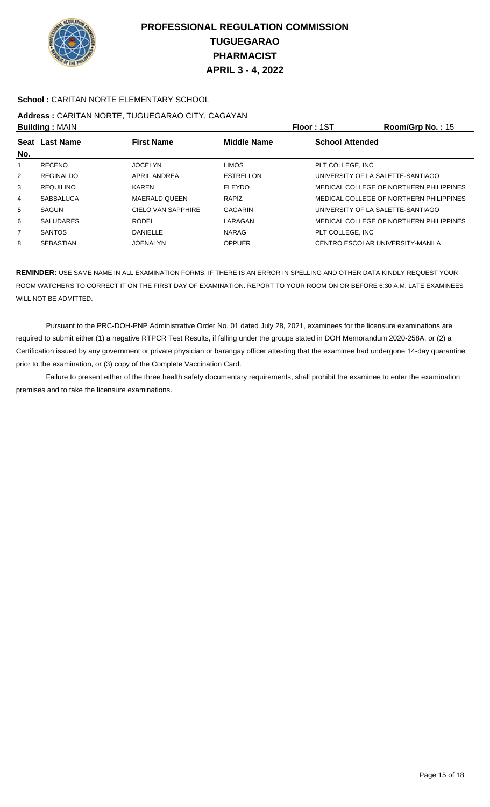

### **School :** CARITAN NORTE ELEMENTARY SCHOOL

# **Address :** CARITAN NORTE, TUGUEGARAO CITY, CAGAYAN

|                | <b>Building: MAIN</b> |                      |                    | <b>Floor: 1ST</b>                 | Room/Grp No.: $15$                      |
|----------------|-----------------------|----------------------|--------------------|-----------------------------------|-----------------------------------------|
| <b>Seat</b>    | <b>Last Name</b>      | <b>First Name</b>    | <b>Middle Name</b> | <b>School Attended</b>            |                                         |
| No.            |                       |                      |                    |                                   |                                         |
|                | <b>RECENO</b>         | <b>JOCELYN</b>       | <b>LIMOS</b>       | PLT COLLEGE, INC                  |                                         |
| $\overline{2}$ | REGINALDO             | APRIL ANDREA         | <b>ESTRELLON</b>   | UNIVERSITY OF LA SALETTE-SANTIAGO |                                         |
| 3              | <b>REQUILINO</b>      | <b>KAREN</b>         | <b>ELEYDO</b>      |                                   | MEDICAL COLLEGE OF NORTHERN PHILIPPINES |
| 4              | <b>SABBALUCA</b>      | <b>MAERALD QUEEN</b> | <b>RAPIZ</b>       |                                   | MEDICAL COLLEGE OF NORTHERN PHILIPPINES |
| 5              | <b>SAGUN</b>          | CIELO VAN SAPPHIRE   | <b>GAGARIN</b>     | UNIVERSITY OF LA SALETTE-SANTIAGO |                                         |
| 6              | <b>SALUDARES</b>      | <b>RODEL</b>         | LARAGAN            |                                   | MEDICAL COLLEGE OF NORTHERN PHILIPPINES |
| 7              | <b>SANTOS</b>         | <b>DANIELLE</b>      | <b>NARAG</b>       | PLT COLLEGE, INC                  |                                         |
| 8              | <b>SEBASTIAN</b>      | <b>JOENALYN</b>      | <b>OPPUER</b>      | CENTRO ESCOLAR UNIVERSITY-MANILA  |                                         |

**REMINDER:** USE SAME NAME IN ALL EXAMINATION FORMS. IF THERE IS AN ERROR IN SPELLING AND OTHER DATA KINDLY REQUEST YOUR ROOM WATCHERS TO CORRECT IT ON THE FIRST DAY OF EXAMINATION. REPORT TO YOUR ROOM ON OR BEFORE 6:30 A.M. LATE EXAMINEES WILL NOT BE ADMITTED.

 Pursuant to the PRC-DOH-PNP Administrative Order No. 01 dated July 28, 2021, examinees for the licensure examinations are required to submit either (1) a negative RTPCR Test Results, if falling under the groups stated in DOH Memorandum 2020-258A, or (2) a Certification issued by any government or private physician or barangay officer attesting that the examinee had undergone 14-day quarantine prior to the examination, or (3) copy of the Complete Vaccination Card.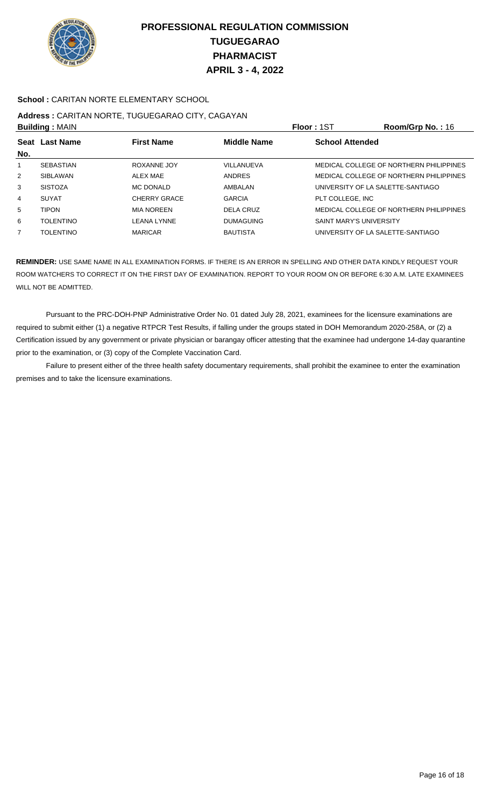

### **School :** CARITAN NORTE ELEMENTARY SCHOOL

# **Address :** CARITAN NORTE, TUGUEGARAO CITY, CAGAYAN

| <b>Building: MAIN</b> |                                                           |                     |                  | <b>Floor: 1ST</b>                 | Room/Grp No.: 16                        |  |
|-----------------------|-----------------------------------------------------------|---------------------|------------------|-----------------------------------|-----------------------------------------|--|
|                       | <b>First Name</b><br><b>Middle Name</b><br>Seat Last Name |                     |                  | <b>School Attended</b>            |                                         |  |
| No.                   |                                                           |                     |                  |                                   |                                         |  |
| $\mathbf{1}$          | <b>SEBASTIAN</b>                                          | ROXANNE JOY         | VILLANUEVA       |                                   | MEDICAL COLLEGE OF NORTHERN PHILIPPINES |  |
| $\overline{2}$        | SIBLAWAN                                                  | <b>ALEX MAE</b>     | <b>ANDRES</b>    |                                   | MEDICAL COLLEGE OF NORTHERN PHILIPPINES |  |
| 3                     | <b>SISTOZA</b>                                            | MC DONALD           | AMBALAN          | UNIVERSITY OF LA SALETTE-SANTIAGO |                                         |  |
| 4                     | <b>SUYAT</b>                                              | <b>CHERRY GRACE</b> | <b>GARCIA</b>    | PLT COLLEGE. INC                  |                                         |  |
| 5                     | <b>TIPON</b>                                              | <b>MIA NOREEN</b>   | DELA CRUZ        |                                   | MEDICAL COLLEGE OF NORTHERN PHILIPPINES |  |
| 6                     | <b>TOLENTINO</b>                                          | LEANA LYNNE         | <b>DUMAGUING</b> | <b>SAINT MARY'S UNIVERSITY</b>    |                                         |  |
| $\overline{7}$        | <b>TOLENTINO</b>                                          | <b>MARICAR</b>      | <b>BAUTISTA</b>  | UNIVERSITY OF LA SALETTE-SANTIAGO |                                         |  |

**REMINDER:** USE SAME NAME IN ALL EXAMINATION FORMS. IF THERE IS AN ERROR IN SPELLING AND OTHER DATA KINDLY REQUEST YOUR ROOM WATCHERS TO CORRECT IT ON THE FIRST DAY OF EXAMINATION. REPORT TO YOUR ROOM ON OR BEFORE 6:30 A.M. LATE EXAMINEES WILL NOT BE ADMITTED.

 Pursuant to the PRC-DOH-PNP Administrative Order No. 01 dated July 28, 2021, examinees for the licensure examinations are required to submit either (1) a negative RTPCR Test Results, if falling under the groups stated in DOH Memorandum 2020-258A, or (2) a Certification issued by any government or private physician or barangay officer attesting that the examinee had undergone 14-day quarantine prior to the examination, or (3) copy of the Complete Vaccination Card.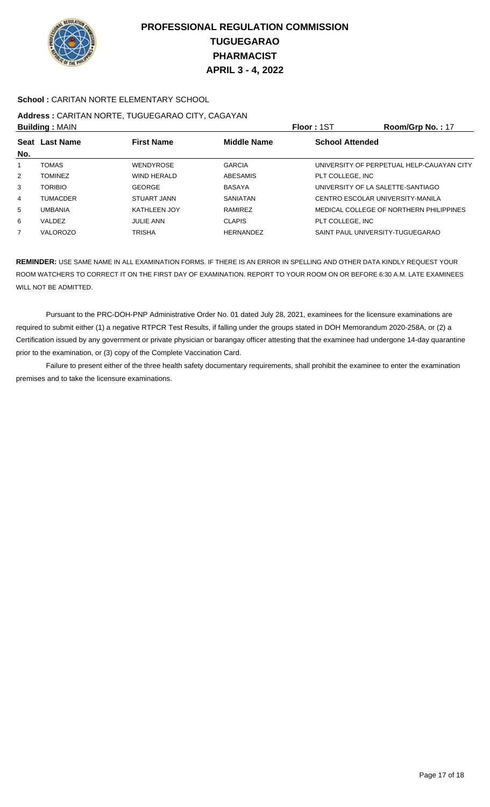

### **School :** CARITAN NORTE ELEMENTARY SCHOOL

# **Address :** CARITAN NORTE, TUGUEGARAO CITY, CAGAYAN

|                | <b>Building: MAIN</b> |                     | <b>Floor: 1ST</b>  | Room/Grp No.: 17       |                                           |
|----------------|-----------------------|---------------------|--------------------|------------------------|-------------------------------------------|
| <b>Seat</b>    | <b>Last Name</b>      | <b>First Name</b>   | <b>Middle Name</b> | <b>School Attended</b> |                                           |
| No.            |                       |                     |                    |                        |                                           |
|                | <b>TOMAS</b>          | <b>WENDYROSE</b>    | <b>GARCIA</b>      |                        | UNIVERSITY OF PERPETUAL HELP-CAUAYAN CITY |
| $\overline{2}$ | <b>TOMINEZ</b>        | <b>WIND HERALD</b>  | <b>ABESAMIS</b>    | PLT COLLEGE. INC       |                                           |
| 3              | <b>TORIBIO</b>        | <b>GEORGE</b>       | <b>BASAYA</b>      |                        | UNIVERSITY OF LA SALETTE-SANTIAGO         |
| 4              | <b>TUMACDER</b>       | STUART JANN         | <b>SANIATAN</b>    |                        | CENTRO ESCOLAR UNIVERSITY-MANILA          |
| 5              | <b>UMBANIA</b>        | <b>KATHLEEN JOY</b> | RAMIREZ            |                        | MEDICAL COLLEGE OF NORTHERN PHILIPPINES   |
| 6              | VALDEZ                | <b>JULIE ANN</b>    | <b>CLAPIS</b>      | PLT COLLEGE. INC       |                                           |
| 7              | VALOROZO              | TRISHA              | <b>HERNANDEZ</b>   |                        | SAINT PAUL UNIVERSITY-TUGUEGARAO          |

**REMINDER:** USE SAME NAME IN ALL EXAMINATION FORMS. IF THERE IS AN ERROR IN SPELLING AND OTHER DATA KINDLY REQUEST YOUR ROOM WATCHERS TO CORRECT IT ON THE FIRST DAY OF EXAMINATION. REPORT TO YOUR ROOM ON OR BEFORE 6:30 A.M. LATE EXAMINEES WILL NOT BE ADMITTED.

 Pursuant to the PRC-DOH-PNP Administrative Order No. 01 dated July 28, 2021, examinees for the licensure examinations are required to submit either (1) a negative RTPCR Test Results, if falling under the groups stated in DOH Memorandum 2020-258A, or (2) a Certification issued by any government or private physician or barangay officer attesting that the examinee had undergone 14-day quarantine prior to the examination, or (3) copy of the Complete Vaccination Card.